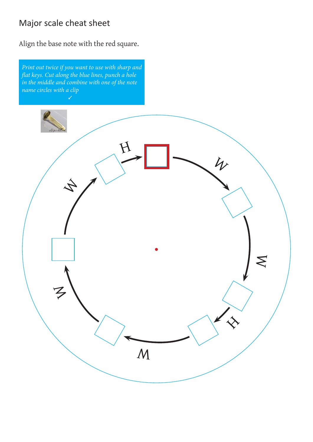# Major scale cheat sheet

Align the base note with the red square.

*Print out twice if you want to use with sharp and flat keys. Cut along the blue lines, punch a hole in the middle and combine with one of the note name circles with a clip* 

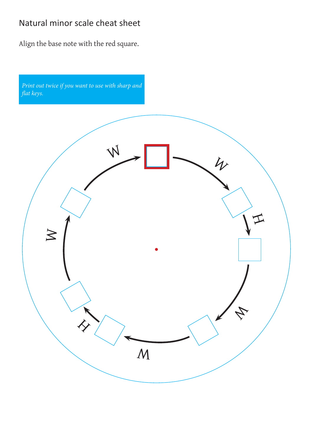## Natural minor scale cheat sheet

Align the base note with the red square.

*Print out twice if you want to use with sharp and flat keys.*

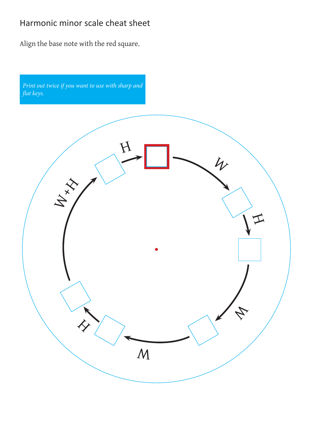## Harmonic minor scale cheat sheet

Align the base note with the red square.

*Print out twice if you want to use with sharp and flat keys.*

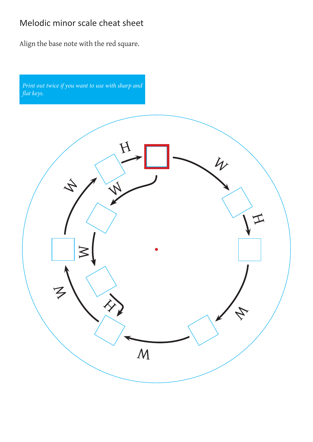## Melodic minor scale cheat sheet

Align the base note with the red square.

*Print out twice if you want to use with sharp and flat keys.*

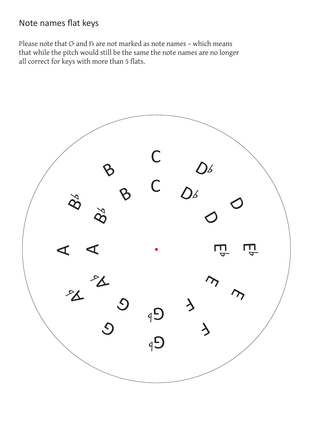#### Note names flat keys

Please note that  $C^{\flat}$  and F $^{\flat}$  are not marked as note names - which means that while the pitch would still be the same the note names are no longer all correct for keys with more than 5 flats.